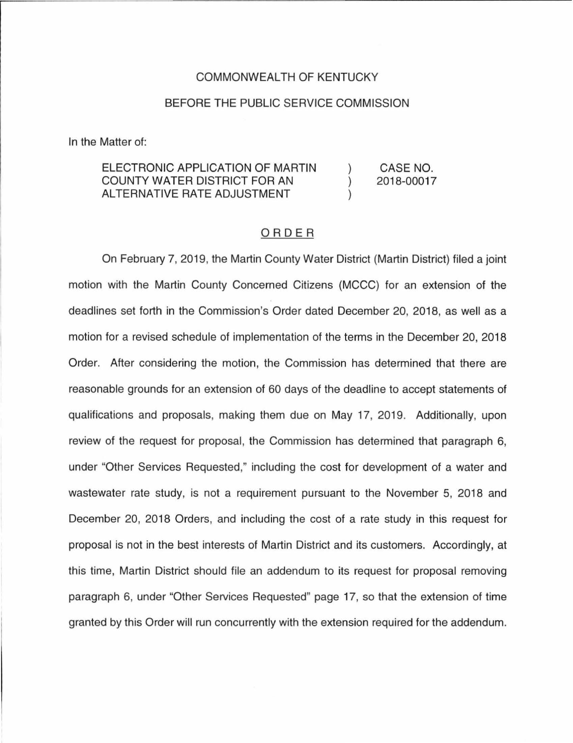# COMMONWEALTH OF KENTUCKY

### BEFORE THE PUBLIC SERVICE COMMISSION

In the Matter of:

#### ELECTRONIC APPLICATION OF MARTIN CASE NO. COUNTY WATER DISTRICT FOR AN 2018-00017  $\mathcal{L}$ ALTERNATIVE RATE ADJUSTMENT

# ORDER

On February 7, 2019, the Martin County Water District (Martin District) filed a joint motion with the Martin County Concerned Citizens (MCCC) for an extension of the deadlines set forth in the Commission's Order dated December 20, 2018, as well as a motion for a revised schedule of implementation of the terms in the December 20, 2018 Order. After considering the motion, the Commission has determined that there are reasonable grounds for an extension of 60 days of the deadline to accept statements of qualifications and proposals, making them due on May 17, 2019. Additionally, upon review of the request for proposal, the Commission has determined that paragraph 6, under "Other Services Requested," including the cost for development of a water and wastewater rate study, is not a requirement pursuant to the November 5, 2018 and December 20, 2018 Orders, and including the cost of a rate study in this request for proposal is not in the best interests of Martin District and its customers. Accordingly, at this time, Martin District should file an addendum to its request for proposal removing paragraph 6, under "Other Services Requested" page 17, so that the extension of time granted by this Order will run concurrently with the extension required for the addendum.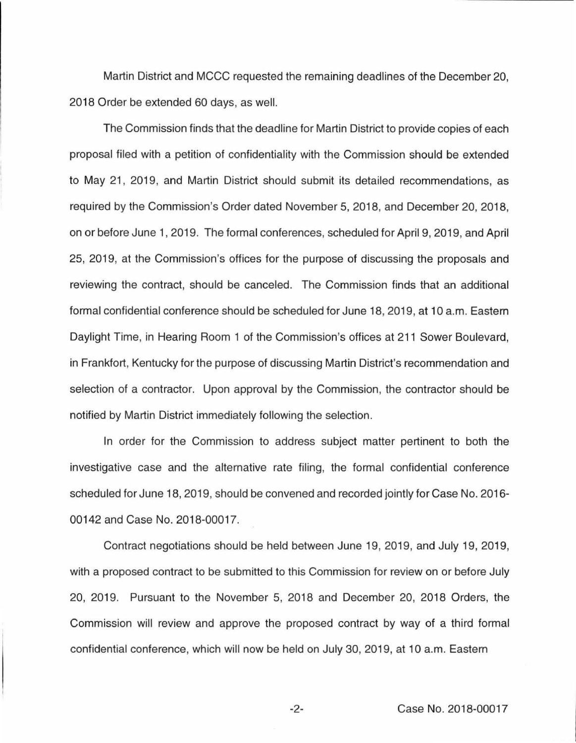Martin District and MCCC requested the remaining deadlines of the December 20, 2018 Order be extended 60 days, as well.

The Commission finds that the deadline for Martin District to provide copies of each proposal filed with a petition of confidentiality with the Commission should be extended to May 21, 2019, and Martin District should submit its detailed recommendations, as required by the Commission's Order dated November 5, 2018, and December 20, 2018, on or before June 1, 2019. The formal conferences, scheduled for April 9, 2019, and April 25, 2019, at the Commission's offices for the purpose of discussing the proposals and reviewing the contract, should be canceled. The Commission finds that an additional formal confidential conference should be scheduled for June 18, 2019, at 10 a.m. Eastern Daylight Time, in Hearing Room 1 of the Commission's offices at 211 Sower Boulevard, in Frankfort, Kentucky for the purpose of discussing Martin District's recommendation and selection of a contractor. Upon approval by the Commission, the contractor should be notified by Martin District immediately following the selection.

In order for the Commission to address subject matter pertinent to both the investigative case and the alternative rate filing, the formal confidential conference scheduled for June 18, 2019, should be convened and recorded jointly for Case No. 2016- 00142 and Case No. 2018-00017.

Contract negotiations should be held between June 19, 2019, and July 19, 2019, with a proposed contract to be submitted to this Commission for review on or before July 20, 2019. Pursuant to the November 5, 2018 and December 20, 2018 Orders, the Commission will review and approve the proposed contract by way of a third formal confidential conference, which will now be held on July 30, 2019, at 10 a.m. Eastern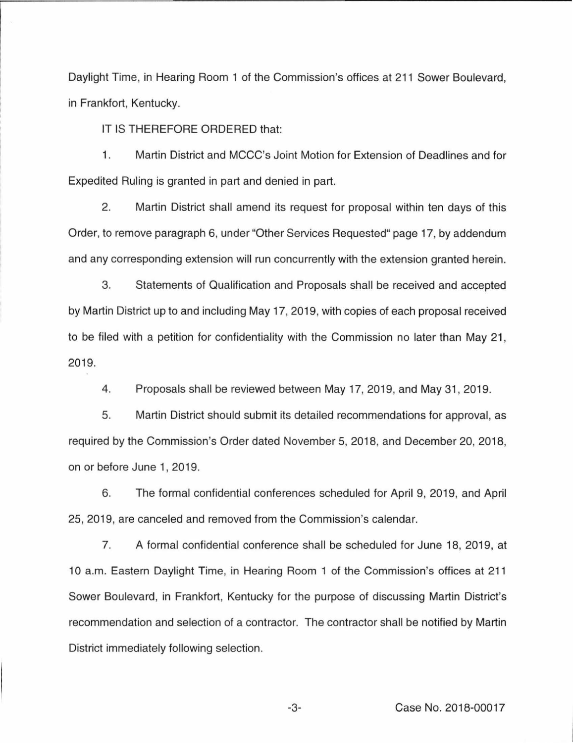Daylight Time, in Hearing Room 1 of the Commission's offices at 211 Sower Boulevard, in Frankfort, Kentucky.

IT IS THEREFORE ORDERED that:

1. Martin District and MCCC's Joint Motion for Extension of Deadlines and for Expedited Ruling is granted in part and denied in part.

2. Martin District shall amend its request for proposal within ten days of this Order, to remove paragraph 6, under "Other Services Requested" page 17, by addendum and any corresponding extension will run concurrently with the extension granted herein.

3. Statements of Qualification and Proposals shall be received and accepted by Martin District up to and including May 17, 2019, with copies of each proposal received to be filed with a petition for confidentiality with the Commission no later than May 21, 2019.

4. Proposals shall be reviewed between May 17, 2019, and May 31, 2019.

5. Martin District should submit its detailed recommendations for approval, as required by the Commission's Order dated November 5, 2018, and December 20, 2018, on or before June 1, 2019.

6. The formal confidential conferences scheduled for April 9, 2019, and April 25, 2019, are canceled and removed from the Commission's calendar.

7. A formal confidential conference shall be scheduled for June 18, 2019, at 10 a.m. Eastern Daylight Time, in Hearing Room 1 of the Commission's offices at 211 Sower Boulevard, in Frankfort, Kentucky for the purpose of discussing Martin District's recommendation and selection of a contractor. The contractor shall be notified by Martin District immediately following selection.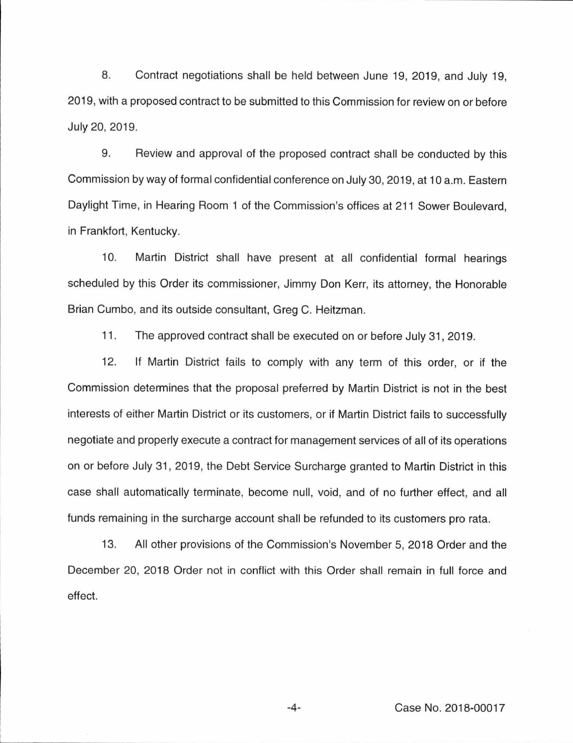8. Contract negotiations shall be held between June 19, 2019, and July 19, 2019, with a proposed contract to be submitted to this Commission for review on or before July 20, 2019.

9. Review and approval of the proposed contract shall be conducted by this Commission by way of formal confidential conference on July 30, 2019, at 10 a.m. Eastern Daylight Time, in Hearing Room 1 of the Commission's offices at 211 Sower Boulevard, in Frankfort, Kentucky.

10. Martin District shall have present at all confidential formal hearings scheduled by this Order its commissioner, Jimmy Don Kerr, its attorney, the Honorable Brian Cumbo, and its outside consultant, Greg C. Heitzman.

11. The approved contract shall be executed on or before July 31, 2019.

12. If Martin District fails to comply with any term of this order, or if the Commission determines that the proposal preferred by Martin District is not in the best interests of either Martin District or its customers, or if Martin District fails to successfully negotiate and properly execute a contract for management services of all of its operations on or before July 31, 2019, the Debt Service Surcharge granted to Martin District in this case shall automatically terminate, become null, void, and of no further effect, and all funds remaining in the surcharge account shall be refunded to its customers pro rata.

13. All other provisions of the Commission's November 5, 2018 Order and the December 20, 2018 Order not in conflict with this Order shall remain in full force and effect.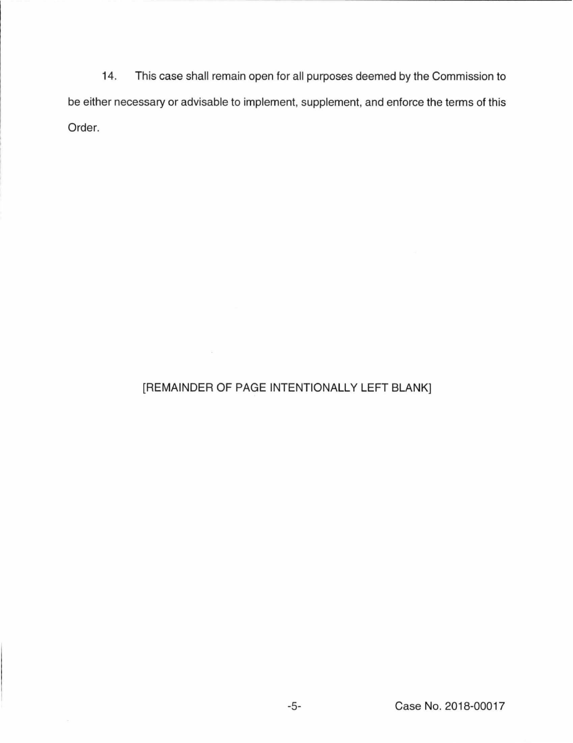14. This case shall remain open for all purposes deemed by the Commission to be either necessary or advisable to implement, supplement, and enforce the terms of this Order.

# [REMAINDER OF PAGE INTENTIONALLY LEFT BLANK]

 $\sim 10^{-10}$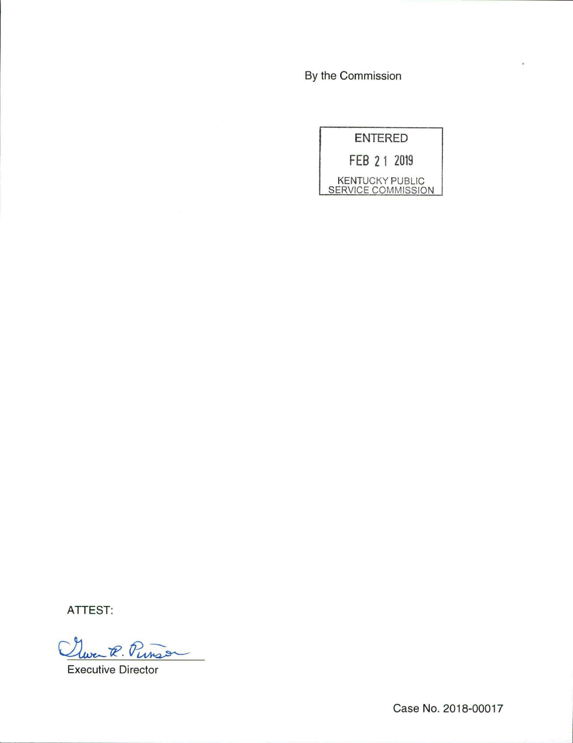By the Commission



ATTEST:

wen R. Punson

Executive Director

Case No. 2018-00017